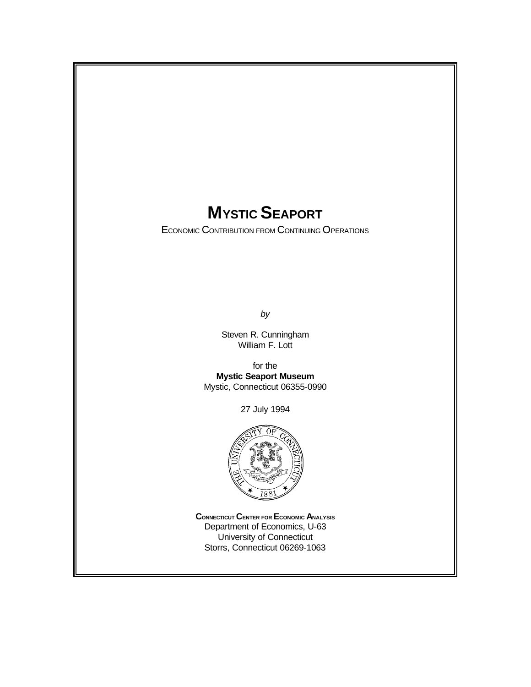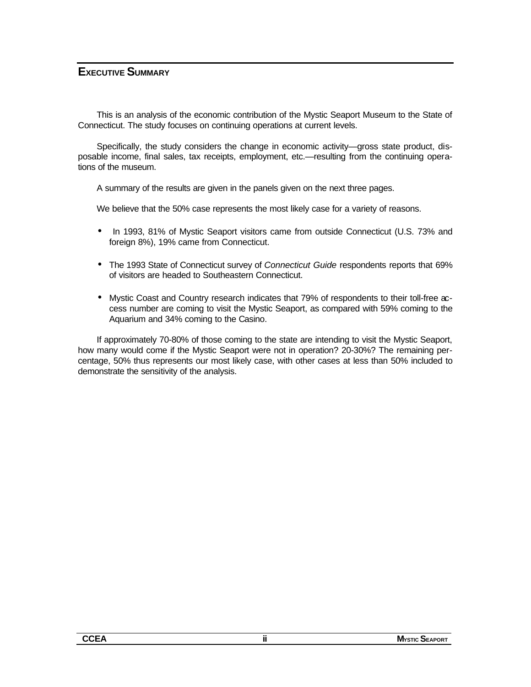#### **EXECUTIVE SUMMARY**

This is an analysis of the economic contribution of the Mystic Seaport Museum to the State of Connecticut. The study focuses on continuing operations at current levels.

Specifically, the study considers the change in economic activity—gross state product, disposable income, final sales, tax receipts, employment, etc.—resulting from the continuing operations of the museum.

A summary of the results are given in the panels given on the next three pages.

We believe that the 50% case represents the most likely case for a variety of reasons.

- In 1993, 81% of Mystic Seaport visitors came from outside Connecticut (U.S. 73% and foreign 8%), 19% came from Connecticut.
- The 1993 State of Connecticut survey of *Connecticut Guide* respondents reports that 69% of visitors are headed to Southeastern Connecticut.
- Mystic Coast and Country research indicates that 79% of respondents to their toll-free access number are coming to visit the Mystic Seaport, as compared with 59% coming to the Aquarium and 34% coming to the Casino.

If approximately 70-80% of those coming to the state are intending to visit the Mystic Seaport, how many would come if the Mystic Seaport were not in operation? 20-30%? The remaining percentage, 50% thus represents our most likely case, with other cases at less than 50% included to demonstrate the sensitivity of the analysis.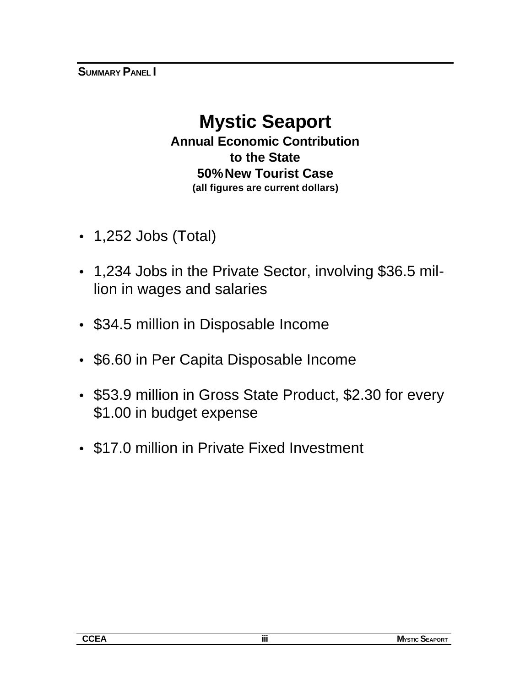# **Mystic Seaport Annual Economic Contribution to the State 50% New Tourist Case (all figures are current dollars)**

- 1,252 Jobs (Total)
- 1,234 Jobs in the Private Sector, involving \$36.5 million in wages and salaries
- \$34.5 million in Disposable Income
- \$6.60 in Per Capita Disposable Income
- \$53.9 million in Gross State Product, \$2.30 for every \$1.00 in budget expense
- \$17.0 million in Private Fixed Investment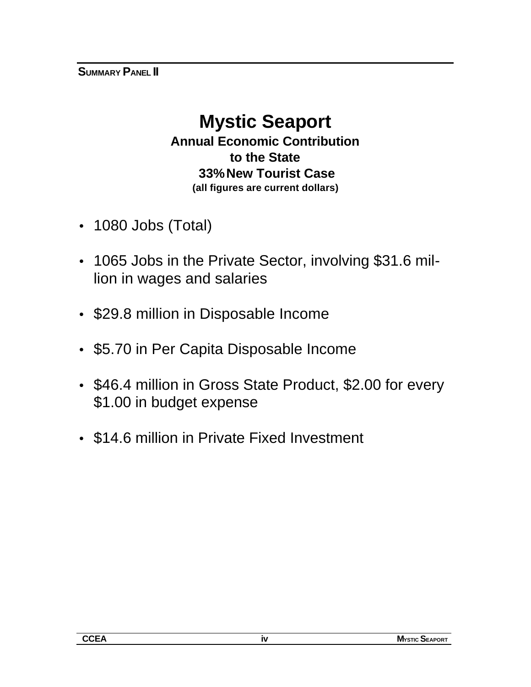# **Mystic Seaport**

**Annual Economic Contribution to the State 33% New Tourist Case (all figures are current dollars)**

- 1080 Jobs (Total)
- 1065 Jobs in the Private Sector, involving \$31.6 million in wages and salaries
- \$29.8 million in Disposable Income
- \$5.70 in Per Capita Disposable Income
- \$46.4 million in Gross State Product, \$2.00 for every \$1.00 in budget expense
- \$14.6 million in Private Fixed Investment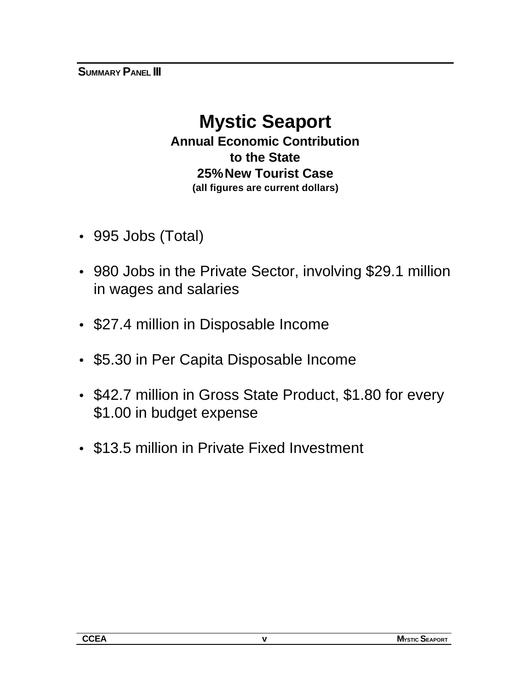# **Mystic Seaport Annual Economic Contribution to the State 25% New Tourist Case (all figures are current dollars)**

- 995 Jobs (Total)
- 980 Jobs in the Private Sector, involving \$29.1 million in wages and salaries
- \$27.4 million in Disposable Income
- \$5.30 in Per Capita Disposable Income
- \$42.7 million in Gross State Product, \$1.80 for every \$1.00 in budget expense
- \$13.5 million in Private Fixed Investment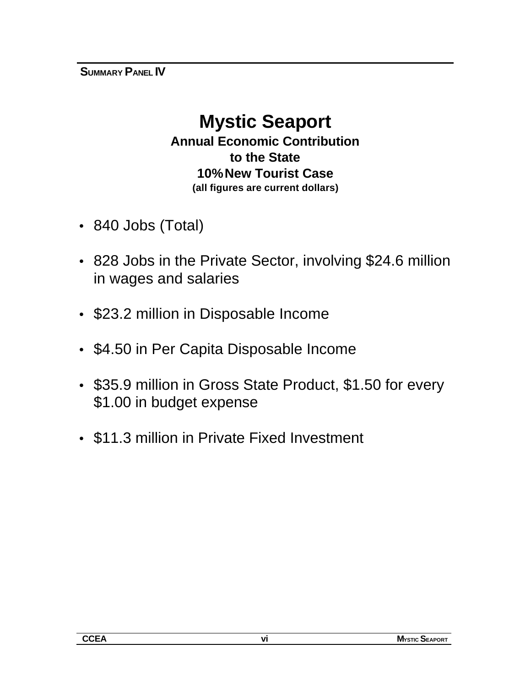**SUMMARY PANEL IV**

# **Mystic Seaport**

**Annual Economic Contribution to the State 10% New Tourist Case (all figures are current dollars)**

- 840 Jobs (Total)
- 828 Jobs in the Private Sector, involving \$24.6 million in wages and salaries
- \$23.2 million in Disposable Income
- \$4.50 in Per Capita Disposable Income
- \$35.9 million in Gross State Product, \$1.50 for every \$1.00 in budget expense
- \$11.3 million in Private Fixed Investment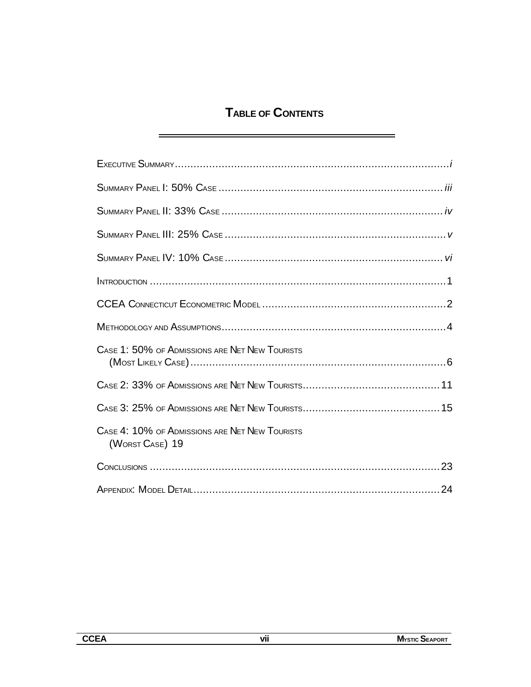# **TABLE OF CONTENTS**

 $\equiv$ 

| CASE 1: 50% OF ADMISSIONS ARE NET NEW TOURISTS                    |
|-------------------------------------------------------------------|
|                                                                   |
|                                                                   |
| CASE 4: 10% OF ADMISSIONS ARE NET NEW TOURISTS<br>(WORST CASE) 19 |
|                                                                   |
|                                                                   |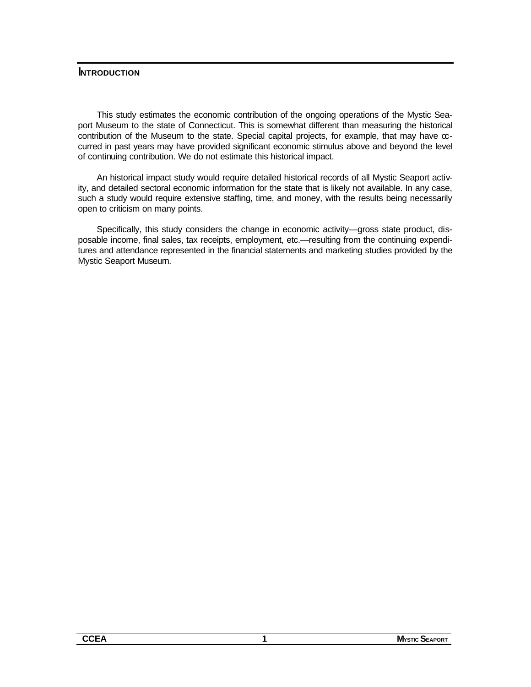#### **INTRODUCTION**

This study estimates the economic contribution of the ongoing operations of the Mystic Seaport Museum to the state of Connecticut. This is somewhat different than measuring the historical contribution of the Museum to the state. Special capital projects, for example, that may have  $\infty$ curred in past years may have provided significant economic stimulus above and beyond the level of continuing contribution. We do not estimate this historical impact.

An historical impact study would require detailed historical records of all Mystic Seaport activity, and detailed sectoral economic information for the state that is likely not available. In any case, such a study would require extensive staffing, time, and money, with the results being necessarily open to criticism on many points.

Specifically, this study considers the change in economic activity—gross state product, disposable income, final sales, tax receipts, employment, etc.—resulting from the continuing expenditures and attendance represented in the financial statements and marketing studies provided by the Mystic Seaport Museum.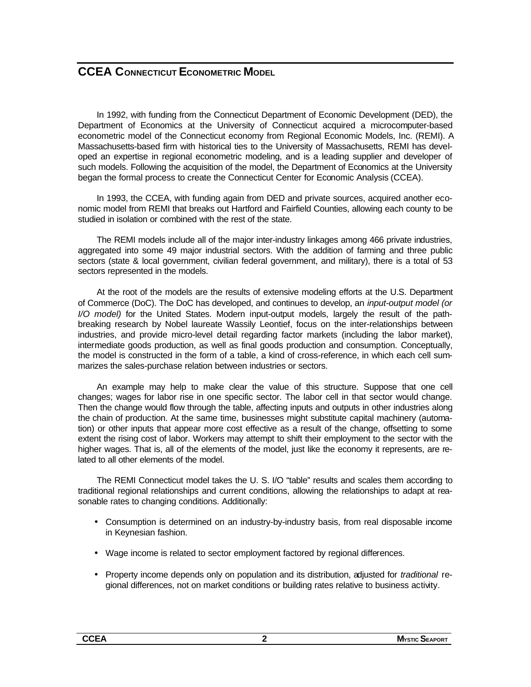## **CCEA CONNECTICUT ECONOMETRIC MODEL**

In 1992, with funding from the Connecticut Department of Economic Development (DED), the Department of Economics at the University of Connecticut acquired a microcomputer-based econometric model of the Connecticut economy from Regional Economic Models, Inc. (REMI). A Massachusetts-based firm with historical ties to the University of Massachusetts, REMI has developed an expertise in regional econometric modeling, and is a leading supplier and developer of such models. Following the acquisition of the model, the Department of Economics at the University began the formal process to create the Connecticut Center for Economic Analysis (CCEA).

In 1993, the CCEA, with funding again from DED and private sources, acquired another economic model from REMI that breaks out Hartford and Fairfield Counties, allowing each county to be studied in isolation or combined with the rest of the state.

The REMI models include all of the major inter-industry linkages among 466 private industries, aggregated into some 49 major industrial sectors. With the addition of farming and three public sectors (state & local government, civilian federal government, and military), there is a total of 53 sectors represented in the models.

At the root of the models are the results of extensive modeling efforts at the U.S. Department of Commerce (DoC). The DoC has developed, and continues to develop, an *input-output model (or I/O model)* for the United States. Modern input-output models, largely the result of the pathbreaking research by Nobel laureate Wassily Leontief, focus on the inter-relationships between industries, and provide micro-level detail regarding factor markets (including the labor market), intermediate goods production, as well as final goods production and consumption. Conceptually, the model is constructed in the form of a table, a kind of cross-reference, in which each cell summarizes the sales-purchase relation between industries or sectors.

An example may help to make clear the value of this structure. Suppose that one cell changes; wages for labor rise in one specific sector. The labor cell in that sector would change. Then the change would flow through the table, affecting inputs and outputs in other industries along the chain of production. At the same time, businesses might substitute capital machinery (automation) or other inputs that appear more cost effective as a result of the change, offsetting to some extent the rising cost of labor. Workers may attempt to shift their employment to the sector with the higher wages. That is, all of the elements of the model, just like the economy it represents, are related to all other elements of the model.

The REMI Connecticut model takes the U. S. I/O "table" results and scales them according to traditional regional relationships and current conditions, allowing the relationships to adapt at reasonable rates to changing conditions. Additionally:

- Consumption is determined on an industry-by-industry basis, from real disposable income in Keynesian fashion.
- Wage income is related to sector employment factored by regional differences.
- Property income depends only on population and its distribution, adjusted for *traditional* regional differences, not on market conditions or building rates relative to business activity.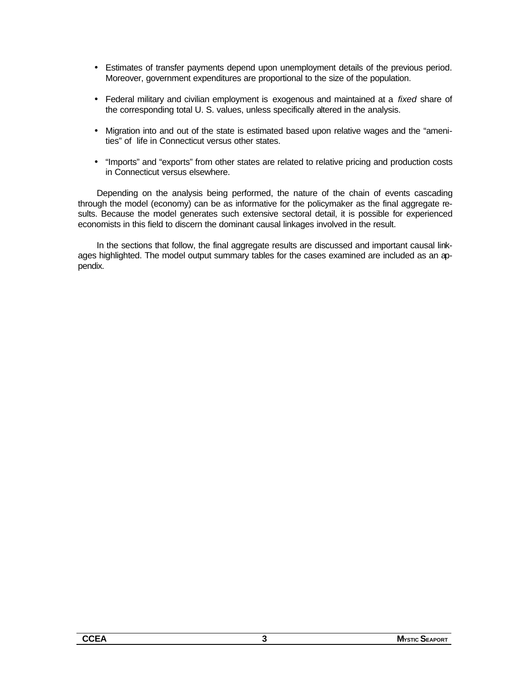- Estimates of transfer payments depend upon unemployment details of the previous period. Moreover, government expenditures are proportional to the size of the population.
- Federal military and civilian employment is exogenous and maintained at a *fixed* share of the corresponding total U. S. values, unless specifically altered in the analysis.
- Migration into and out of the state is estimated based upon relative wages and the "amenities" of life in Connecticut versus other states.
- "Imports" and "exports" from other states are related to relative pricing and production costs in Connecticut versus elsewhere.

Depending on the analysis being performed, the nature of the chain of events cascading through the model (economy) can be as informative for the policymaker as the final aggregate results. Because the model generates such extensive sectoral detail, it is possible for experienced economists in this field to discern the dominant causal linkages involved in the result.

In the sections that follow, the final aggregate results are discussed and important causal linkages highlighted. The model output summary tables for the cases examined are included as an appendix.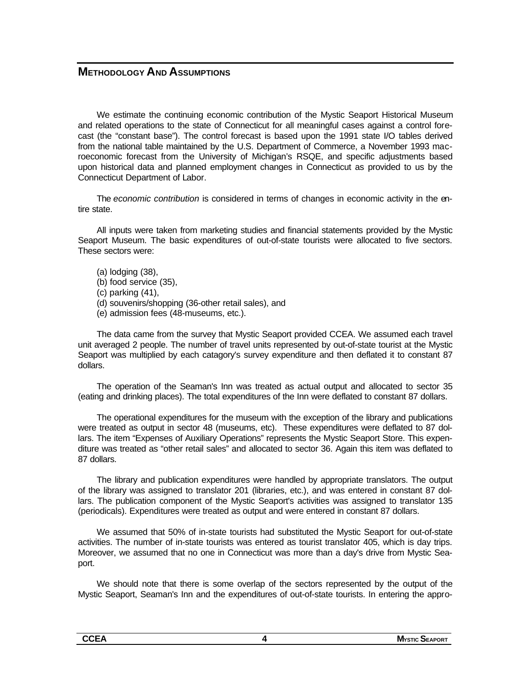#### **METHODOLOGY AND ASSUMPTIONS**

We estimate the continuing economic contribution of the Mystic Seaport Historical Museum and related operations to the state of Connecticut for all meaningful cases against a control forecast (the "constant base"). The control forecast is based upon the 1991 state I/O tables derived from the national table maintained by the U.S. Department of Commerce, a November 1993 macroeconomic forecast from the University of Michigan's RSQE, and specific adjustments based upon historical data and planned employment changes in Connecticut as provided to us by the Connecticut Department of Labor.

The *economic contribution* is considered in terms of changes in economic activity in the entire state.

All inputs were taken from marketing studies and financial statements provided by the Mystic Seaport Museum. The basic expenditures of out-of-state tourists were allocated to five sectors. These sectors were:

- (a) lodging (38),
- (b) food service (35),
- (c) parking (41),
- (d) souvenirs/shopping (36-other retail sales), and
- (e) admission fees (48-museums, etc.).

The data came from the survey that Mystic Seaport provided CCEA. We assumed each travel unit averaged 2 people. The number of travel units represented by out-of-state tourist at the Mystic Seaport was multiplied by each catagory's survey expenditure and then deflated it to constant 87 dollars.

The operation of the Seaman's Inn was treated as actual output and allocated to sector 35 (eating and drinking places). The total expenditures of the Inn were deflated to constant 87 dollars.

The operational expenditures for the museum with the exception of the library and publications were treated as output in sector 48 (museums, etc). These expenditures were deflated to 87 dollars. The item "Expenses of Auxiliary Operations" represents the Mystic Seaport Store. This expenditure was treated as "other retail sales" and allocated to sector 36. Again this item was deflated to 87 dollars.

The library and publication expenditures were handled by appropriate translators. The output of the library was assigned to translator 201 (libraries, etc.), and was entered in constant 87 dollars. The publication component of the Mystic Seaport's activities was assigned to translator 135 (periodicals). Expenditures were treated as output and were entered in constant 87 dollars.

We assumed that 50% of in-state tourists had substituted the Mystic Seaport for out-of-state activities. The number of in-state tourists was entered as tourist translator 405, which is day trips. Moreover, we assumed that no one in Connecticut was more than a day's drive from Mystic Seaport.

We should note that there is some overlap of the sectors represented by the output of the Mystic Seaport, Seaman's Inn and the expenditures of out-of-state tourists. In entering the appro-

| <b>CCEA</b> | <b>Mystic SEAPORT</b> |
|-------------|-----------------------|
|             |                       |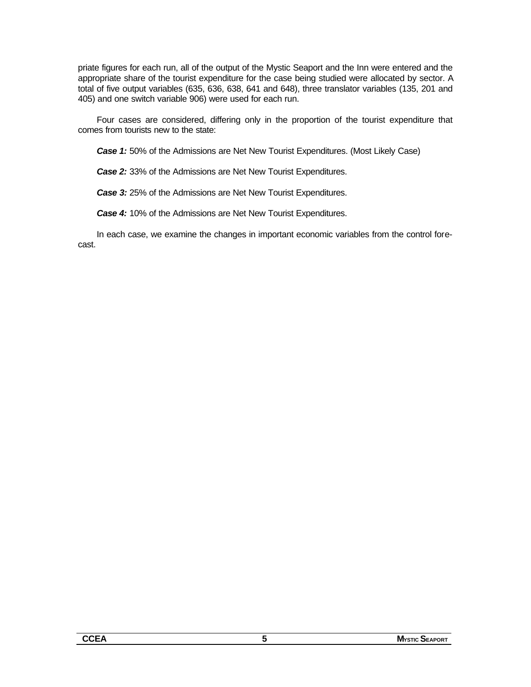priate figures for each run, all of the output of the Mystic Seaport and the Inn were entered and the appropriate share of the tourist expenditure for the case being studied were allocated by sector. A total of five output variables (635, 636, 638, 641 and 648), three translator variables (135, 201 and 405) and one switch variable 906) were used for each run.

Four cases are considered, differing only in the proportion of the tourist expenditure that comes from tourists new to the state:

*Case 1:* 50% of the Admissions are Net New Tourist Expenditures. (Most Likely Case)

*Case 2:* 33% of the Admissions are Net New Tourist Expenditures.

*Case 3:* 25% of the Admissions are Net New Tourist Expenditures.

*Case 4:* 10% of the Admissions are Net New Tourist Expenditures.

In each case, we examine the changes in important economic variables from the control forecast.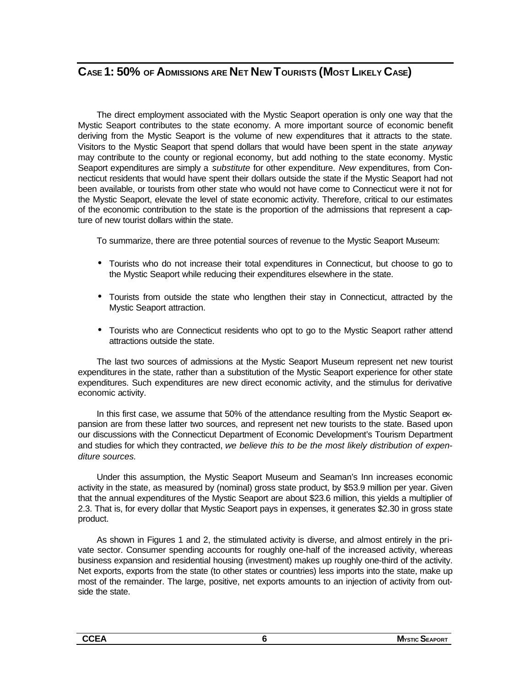## **CASE 1: 50% OF ADMISSIONS ARE NET NEW TOURISTS (MOST LIKELY CASE)**

The direct employment associated with the Mystic Seaport operation is only one way that the Mystic Seaport contributes to the state economy. A more important source of economic benefit deriving from the Mystic Seaport is the volume of new expenditures that it attracts to the state. Visitors to the Mystic Seaport that spend dollars that would have been spent in the state *anyway* may contribute to the county or regional economy, but add nothing to the state economy. Mystic Seaport expenditures are simply a *substitute* for other expenditure. *New* expenditures, from Connecticut residents that would have spent their dollars outside the state if the Mystic Seaport had not been available, or tourists from other state who would not have come to Connecticut were it not for the Mystic Seaport, elevate the level of state economic activity. Therefore, critical to our estimates of the economic contribution to the state is the proportion of the admissions that represent a capture of new tourist dollars within the state.

To summarize, there are three potential sources of revenue to the Mystic Seaport Museum:

- Tourists who do not increase their total expenditures in Connecticut, but choose to go to the Mystic Seaport while reducing their expenditures elsewhere in the state.
- Tourists from outside the state who lengthen their stay in Connecticut, attracted by the Mystic Seaport attraction.
- Tourists who are Connecticut residents who opt to go to the Mystic Seaport rather attend attractions outside the state.

The last two sources of admissions at the Mystic Seaport Museum represent net new tourist expenditures in the state, rather than a substitution of the Mystic Seaport experience for other state expenditures. Such expenditures are new direct economic activity, and the stimulus for derivative economic activity.

In this first case, we assume that 50% of the attendance resulting from the Mystic Seaport expansion are from these latter two sources, and represent net new tourists to the state. Based upon our discussions with the Connecticut Department of Economic Development's Tourism Department and studies for which they contracted, *we believe this to be the most likely distribution of expenditure sources.*

Under this assumption, the Mystic Seaport Museum and Seaman's Inn increases economic activity in the state, as measured by (nominal) gross state product, by \$53.9 million per year. Given that the annual expenditures of the Mystic Seaport are about \$23.6 million, this yields a multiplier of 2.3. That is, for every dollar that Mystic Seaport pays in expenses, it generates \$2.30 in gross state product.

As shown in Figures 1 and 2, the stimulated activity is diverse, and almost entirely in the private sector. Consumer spending accounts for roughly one-half of the increased activity, whereas business expansion and residential housing (investment) makes up roughly one-third of the activity. Net exports, exports from the state (to other states or countries) less imports into the state, make up most of the remainder. The large, positive, net exports amounts to an injection of activity from outside the state.

| --<br>. . A | RЛ<br>'ORT |
|-------------|------------|
|             |            |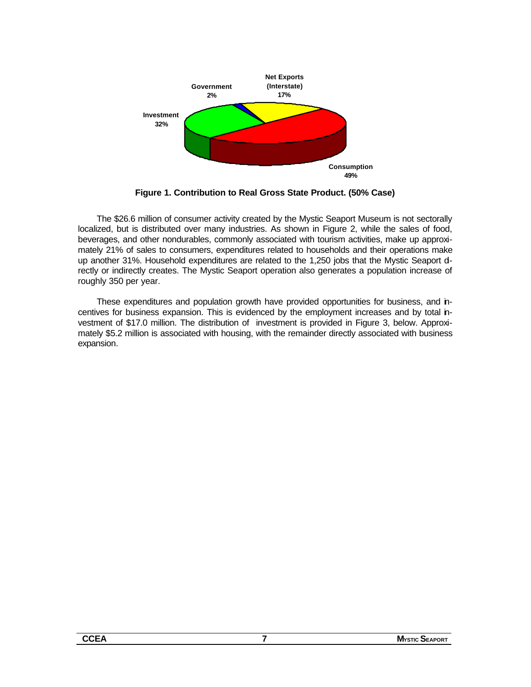

**Figure 1. Contribution to Real Gross State Product. (50% Case)**

The \$26.6 million of consumer activity created by the Mystic Seaport Museum is not sectorally localized, but is distributed over many industries. As shown in Figure 2, while the sales of food, beverages, and other nondurables, commonly associated with tourism activities, make up approximately 21% of sales to consumers, expenditures related to households and their operations make up another 31%. Household expenditures are related to the 1,250 jobs that the Mystic Seaport drectly or indirectly creates. The Mystic Seaport operation also generates a population increase of roughly 350 per year.

These expenditures and population growth have provided opportunities for business, and incentives for business expansion. This is evidenced by the employment increases and by total investment of \$17.0 million. The distribution of investment is provided in Figure 3, below. Approximately \$5.2 million is associated with housing, with the remainder directly associated with business expansion.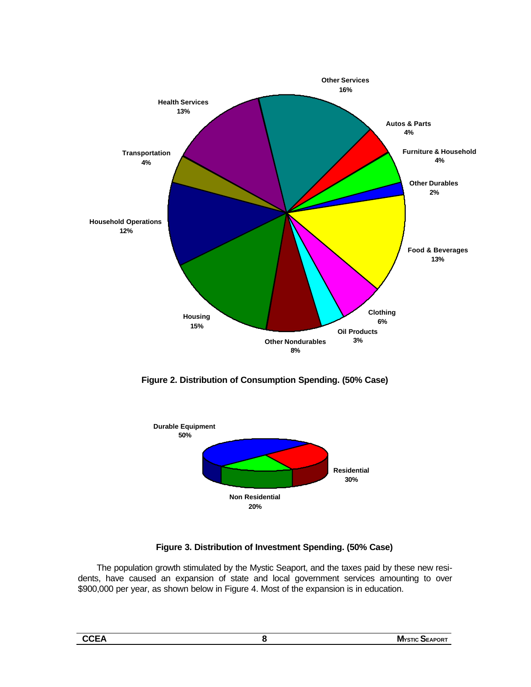

**Figure 2. Distribution of Consumption Spending. (50% Case)**



#### **Figure 3. Distribution of Investment Spending. (50% Case)**

The population growth stimulated by the Mystic Seaport, and the taxes paid by these new residents, have caused an expansion of state and local government services amounting to over \$900,000 per year, as shown below in Figure 4. Most of the expansion is in education.

| ۰.<br>×<br>I |  |
|--------------|--|
|              |  |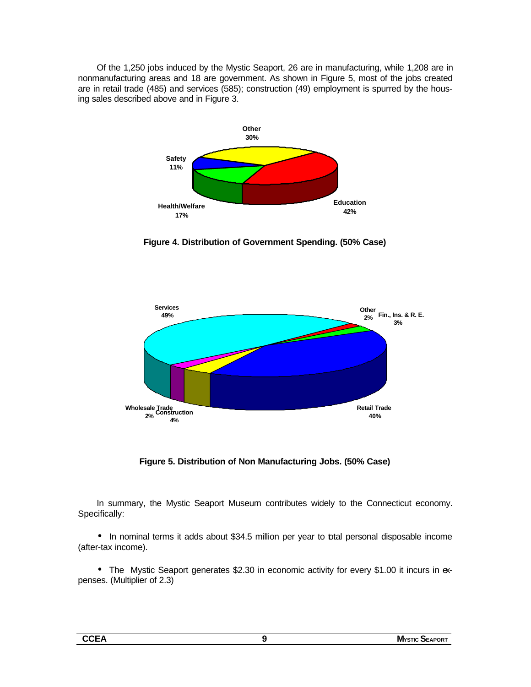Of the 1,250 jobs induced by the Mystic Seaport, 26 are in manufacturing, while 1,208 are in nonmanufacturing areas and 18 are government. As shown in Figure 5, most of the jobs created are in retail trade (485) and services (585); construction (49) employment is spurred by the housing sales described above and in Figure 3.



**Figure 4. Distribution of Government Spending. (50% Case)**



**Figure 5. Distribution of Non Manufacturing Jobs. (50% Case)**

In summary, the Mystic Seaport Museum contributes widely to the Connecticut economy. Specifically:

• In nominal terms it adds about \$34.5 million per year to total personal disposable income (after-tax income).

• The Mystic Seaport generates \$2.30 in economic activity for every \$1.00 it incurs in expenses. (Multiplier of 2.3)

| $-$<br>. ⊢ /\<br>- - | <b>MYSTIC</b><br>™Uk.<br>$ -$ |
|----------------------|-------------------------------|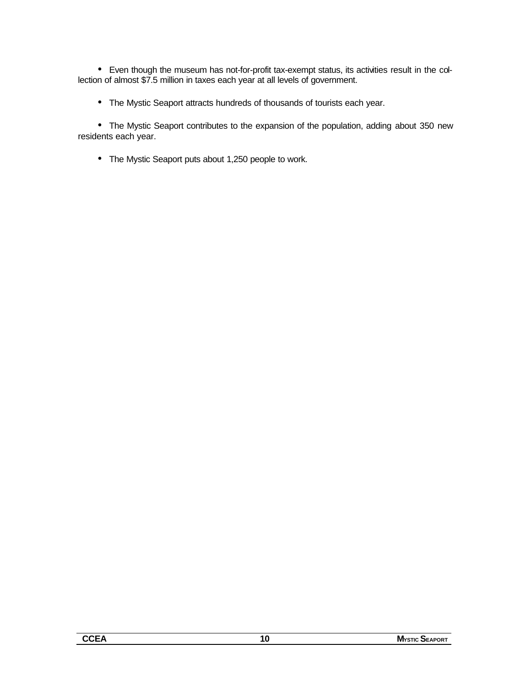• Even though the museum has not-for-profit tax-exempt status, its activities result in the collection of almost \$7.5 million in taxes each year at all levels of government.

• The Mystic Seaport attracts hundreds of thousands of tourists each year.

• The Mystic Seaport contributes to the expansion of the population, adding about 350 new residents each year.

• The Mystic Seaport puts about 1,250 people to work.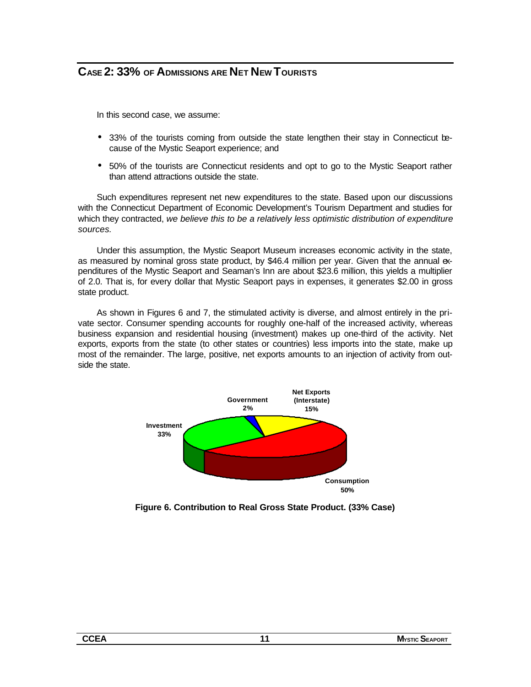## **CASE 2: 33% OF ADMISSIONS ARE NET NEW TOURISTS**

In this second case, we assume:

- 33% of the tourists coming from outside the state lengthen their stay in Connecticut because of the Mystic Seaport experience; and
- 50% of the tourists are Connecticut residents and opt to go to the Mystic Seaport rather than attend attractions outside the state.

Such expenditures represent net new expenditures to the state. Based upon our discussions with the Connecticut Department of Economic Development's Tourism Department and studies for which they contracted, *we believe this to be a relatively less optimistic distribution of expenditure sources.*

Under this assumption, the Mystic Seaport Museum increases economic activity in the state, as measured by nominal gross state product, by \$46.4 million per year. Given that the annual expenditures of the Mystic Seaport and Seaman's Inn are about \$23.6 million, this yields a multiplier of 2.0. That is, for every dollar that Mystic Seaport pays in expenses, it generates \$2.00 in gross state product.

As shown in Figures 6 and 7, the stimulated activity is diverse, and almost entirely in the private sector. Consumer spending accounts for roughly one-half of the increased activity, whereas business expansion and residential housing (investment) makes up one-third of the activity. Net exports, exports from the state (to other states or countries) less imports into the state, make up most of the remainder. The large, positive, net exports amounts to an injection of activity from outside the state.



**Figure 6. Contribution to Real Gross State Product. (33% Case)**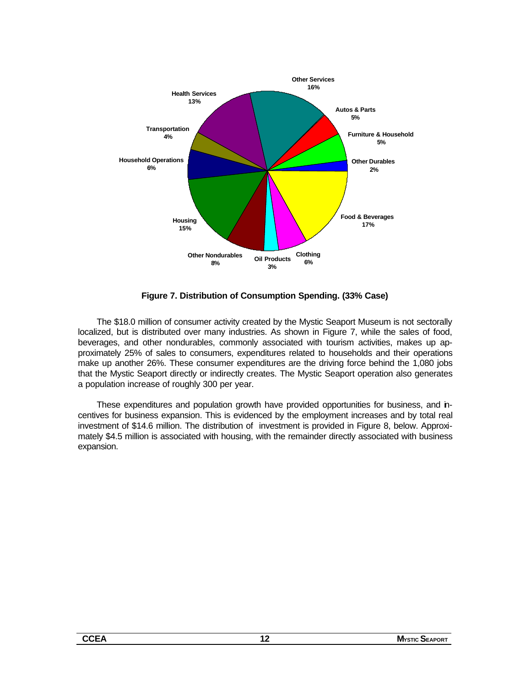

**Figure 7. Distribution of Consumption Spending. (33% Case)**

The \$18.0 million of consumer activity created by the Mystic Seaport Museum is not sectorally localized, but is distributed over many industries. As shown in Figure 7, while the sales of food, beverages, and other nondurables, commonly associated with tourism activities, makes up approximately 25% of sales to consumers, expenditures related to households and their operations make up another 26%. These consumer expenditures are the driving force behind the 1,080 jobs that the Mystic Seaport directly or indirectly creates. The Mystic Seaport operation also generates a population increase of roughly 300 per year.

These expenditures and population growth have provided opportunities for business, and incentives for business expansion. This is evidenced by the employment increases and by total real investment of \$14.6 million. The distribution of investment is provided in Figure 8, below. Approximately \$4.5 million is associated with housing, with the remainder directly associated with business expansion.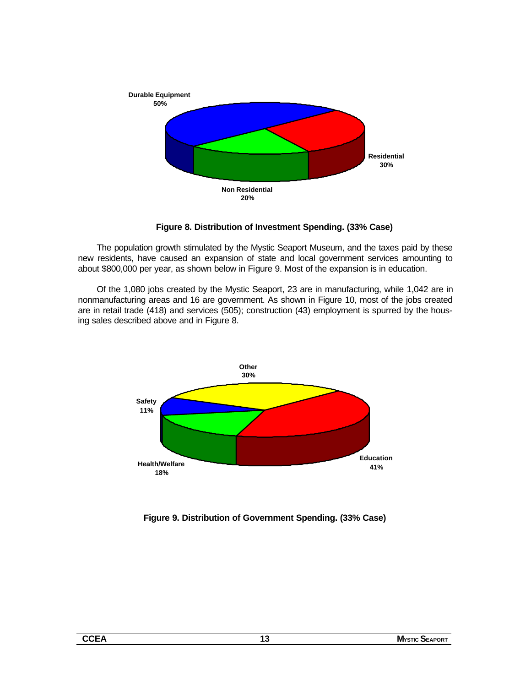

**Figure 8. Distribution of Investment Spending. (33% Case)**

The population growth stimulated by the Mystic Seaport Museum, and the taxes paid by these new residents, have caused an expansion of state and local government services amounting to about \$800,000 per year, as shown below in Figure 9. Most of the expansion is in education.

Of the 1,080 jobs created by the Mystic Seaport, 23 are in manufacturing, while 1,042 are in nonmanufacturing areas and 16 are government. As shown in Figure 10, most of the jobs created are in retail trade (418) and services (505); construction (43) employment is spurred by the housing sales described above and in Figure 8.



**Figure 9. Distribution of Government Spending. (33% Case)**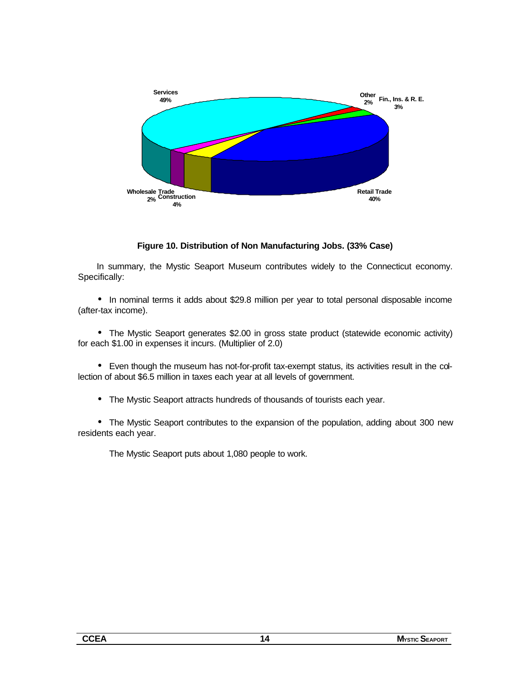

#### **Figure 10. Distribution of Non Manufacturing Jobs. (33% Case)**

In summary, the Mystic Seaport Museum contributes widely to the Connecticut economy. Specifically:

• In nominal terms it adds about \$29.8 million per year to total personal disposable income (after-tax income).

• The Mystic Seaport generates \$2.00 in gross state product (statewide economic activity) for each \$1.00 in expenses it incurs. (Multiplier of 2.0)

• Even though the museum has not-for-profit tax-exempt status, its activities result in the collection of about \$6.5 million in taxes each year at all levels of government.

• The Mystic Seaport attracts hundreds of thousands of tourists each year.

• The Mystic Seaport contributes to the expansion of the population, adding about 300 new residents each year.

The Mystic Seaport puts about 1,080 people to work.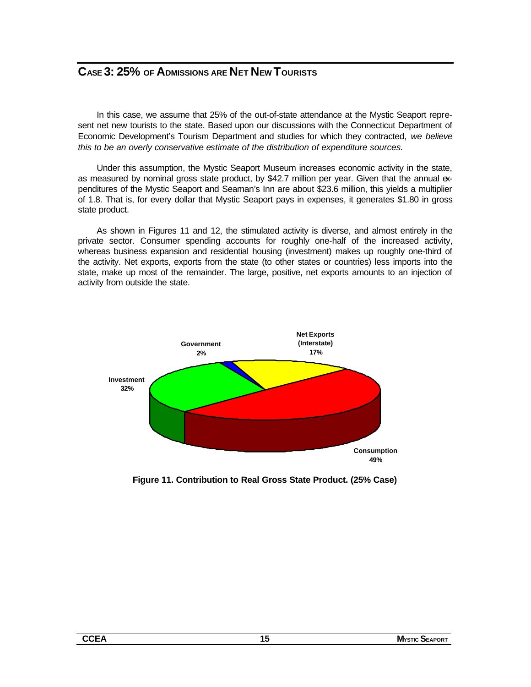## **CASE 3: 25% OF ADMISSIONS ARE NET NEW TOURISTS**

In this case, we assume that 25% of the out-of-state attendance at the Mystic Seaport represent net new tourists to the state. Based upon our discussions with the Connecticut Department of Economic Development's Tourism Department and studies for which they contracted, *we believe this to be an overly conservative estimate of the distribution of expenditure sources.*

Under this assumption, the Mystic Seaport Museum increases economic activity in the state, as measured by nominal gross state product, by \$42.7 million per year. Given that the annual expenditures of the Mystic Seaport and Seaman's Inn are about \$23.6 million, this yields a multiplier of 1.8. That is, for every dollar that Mystic Seaport pays in expenses, it generates \$1.80 in gross state product.

As shown in Figures 11 and 12, the stimulated activity is diverse, and almost entirely in the private sector. Consumer spending accounts for roughly one-half of the increased activity, whereas business expansion and residential housing (investment) makes up roughly one-third of the activity. Net exports, exports from the state (to other states or countries) less imports into the state, make up most of the remainder. The large, positive, net exports amounts to an injection of activity from outside the state.



**Figure 11. Contribution to Real Gross State Product. (25% Case)**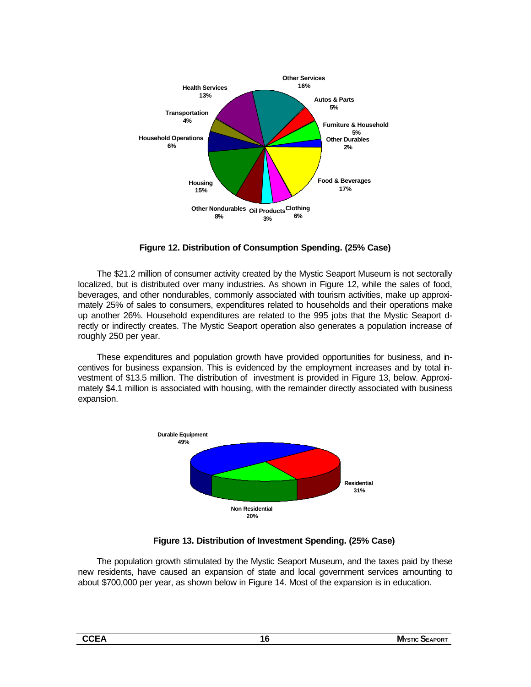

**Figure 12. Distribution of Consumption Spending. (25% Case)**

The \$21.2 million of consumer activity created by the Mystic Seaport Museum is not sectorally localized, but is distributed over many industries. As shown in Figure 12, while the sales of food, beverages, and other nondurables, commonly associated with tourism activities, make up approximately 25% of sales to consumers, expenditures related to households and their operations make up another 26%. Household expenditures are related to the 995 jobs that the Mystic Seaport drectly or indirectly creates. The Mystic Seaport operation also generates a population increase of roughly 250 per year.

These expenditures and population growth have provided opportunities for business, and incentives for business expansion. This is evidenced by the employment increases and by total investment of \$13.5 million. The distribution of investment is provided in Figure 13, below. Approximately \$4.1 million is associated with housing, with the remainder directly associated with business expansion.



**Figure 13. Distribution of Investment Spending. (25% Case)**

The population growth stimulated by the Mystic Seaport Museum, and the taxes paid by these new residents, have caused an expansion of state and local government services amounting to about \$700,000 per year, as shown below in Figure 14. Most of the expansion is in education.

| ۰.<br>۰. |
|----------|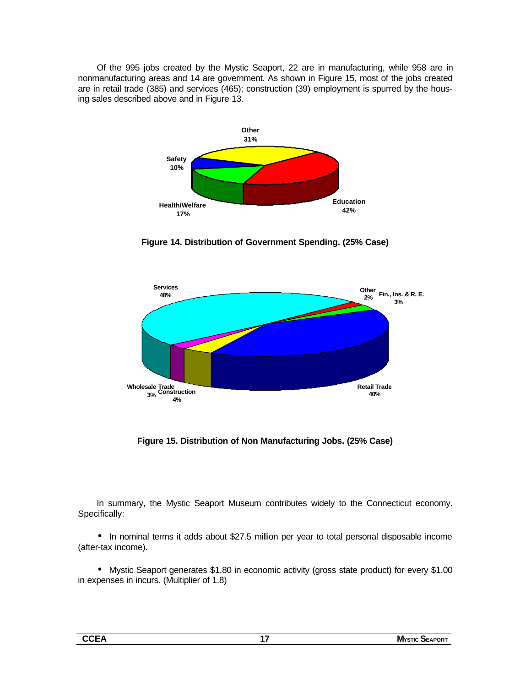Of the 995 jobs created by the Mystic Seaport, 22 are in manufacturing, while 958 are in nonmanufacturing areas and 14 are government. As shown in Figure 15, most of the jobs created are in retail trade (385) and services (465); construction (39) employment is spurred by the housing sales described above and in Figure 13.



**Figure 14. Distribution of Government Spending. (25% Case)**



**Figure 15. Distribution of Non Manufacturing Jobs. (25% Case)**

In summary, the Mystic Seaport Museum contributes widely to the Connecticut economy. Specifically:

• In nominal terms it adds about \$27.5 million per year to total personal disposable income (after-tax income).

• Mystic Seaport generates \$1.80 in economic activity (gross state product) for every \$1.00 in expenses in incurs. (Multiplier of 1.8)

| м.<br>---<br>Ð |  |     |
|----------------|--|-----|
|                |  | or. |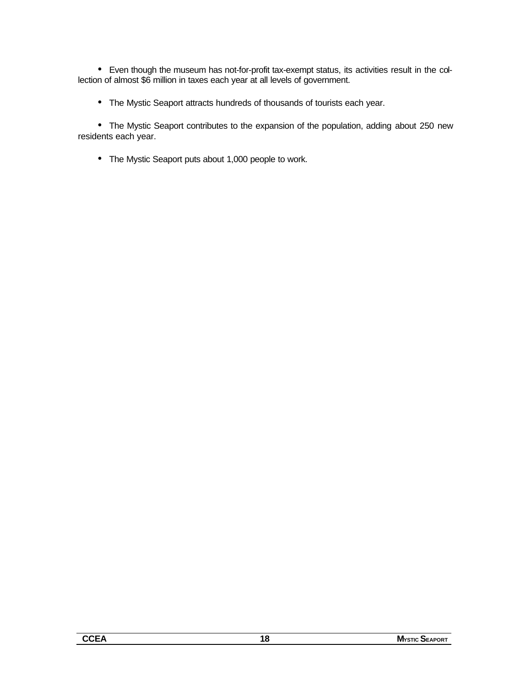• Even though the museum has not-for-profit tax-exempt status, its activities result in the collection of almost \$6 million in taxes each year at all levels of government.

• The Mystic Seaport attracts hundreds of thousands of tourists each year.

• The Mystic Seaport contributes to the expansion of the population, adding about 250 new residents each year.

• The Mystic Seaport puts about 1,000 people to work.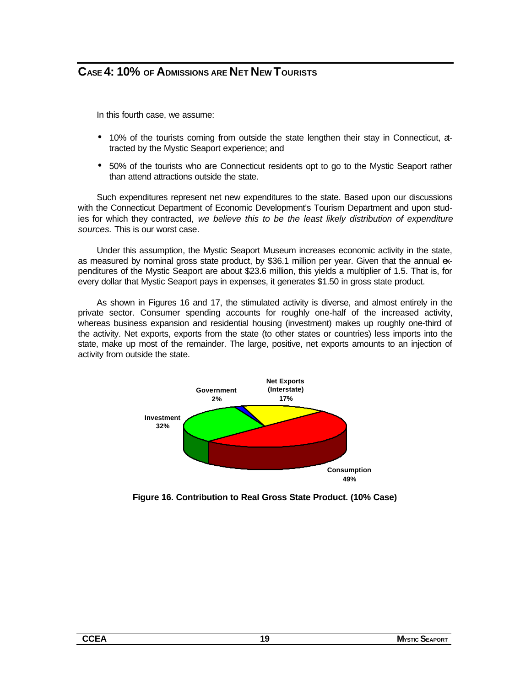## **CASE 4: 10% OF ADMISSIONS ARE NET NEW TOURISTS**

In this fourth case, we assume:

- 10% of the tourists coming from outside the state lengthen their stay in Connecticut, atracted by the Mystic Seaport experience; and
- 50% of the tourists who are Connecticut residents opt to go to the Mystic Seaport rather than attend attractions outside the state.

Such expenditures represent net new expenditures to the state. Based upon our discussions with the Connecticut Department of Economic Development's Tourism Department and upon studies for which they contracted, *we believe this to be the least likely distribution of expenditure sources.* This is our worst case.

Under this assumption, the Mystic Seaport Museum increases economic activity in the state, as measured by nominal gross state product, by \$36.1 million per year. Given that the annual expenditures of the Mystic Seaport are about \$23.6 million, this yields a multiplier of 1.5. That is, for every dollar that Mystic Seaport pays in expenses, it generates \$1.50 in gross state product.

As shown in Figures 16 and 17, the stimulated activity is diverse, and almost entirely in the private sector. Consumer spending accounts for roughly one-half of the increased activity, whereas business expansion and residential housing (investment) makes up roughly one-third of the activity. Net exports, exports from the state (to other states or countries) less imports into the state, make up most of the remainder. The large, positive, net exports amounts to an injection of activity from outside the state.



**Figure 16. Contribution to Real Gross State Product. (10% Case)**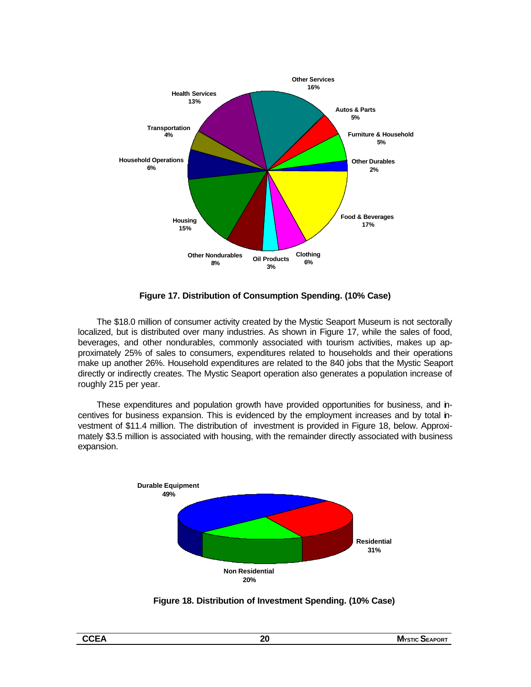

**Figure 17. Distribution of Consumption Spending. (10% Case)**

The \$18.0 million of consumer activity created by the Mystic Seaport Museum is not sectorally localized, but is distributed over many industries. As shown in Figure 17, while the sales of food, beverages, and other nondurables, commonly associated with tourism activities, makes up approximately 25% of sales to consumers, expenditures related to households and their operations make up another 26%. Household expenditures are related to the 840 jobs that the Mystic Seaport directly or indirectly creates. The Mystic Seaport operation also generates a population increase of roughly 215 per year.

These expenditures and population growth have provided opportunities for business, and incentives for business expansion. This is evidenced by the employment increases and by total investment of \$11.4 million. The distribution of investment is provided in Figure 18, below. Approximately \$3.5 million is associated with housing, with the remainder directly associated with business expansion.



**Figure 18. Distribution of Investment Spending. (10% Case)**

|  | ×<br>I |  |
|--|--------|--|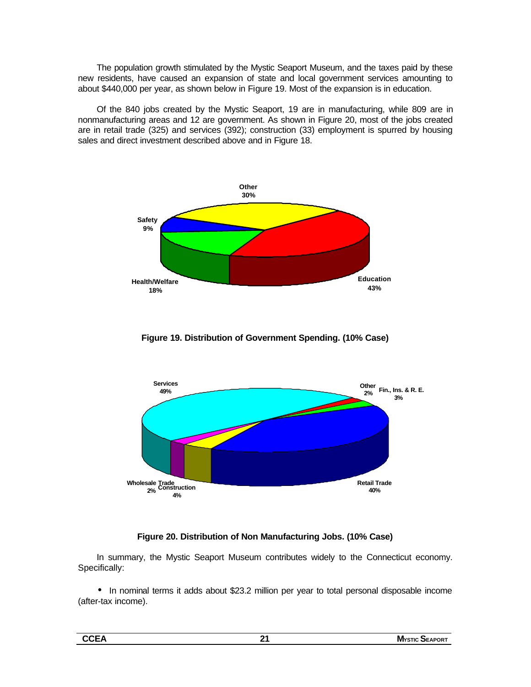The population growth stimulated by the Mystic Seaport Museum, and the taxes paid by these new residents, have caused an expansion of state and local government services amounting to about \$440,000 per year, as shown below in Figure 19. Most of the expansion is in education.

Of the 840 jobs created by the Mystic Seaport, 19 are in manufacturing, while 809 are in nonmanufacturing areas and 12 are government. As shown in Figure 20, most of the jobs created are in retail trade (325) and services (392); construction (33) employment is spurred by housing sales and direct investment described above and in Figure 18.







#### **Figure 20. Distribution of Non Manufacturing Jobs. (10% Case)**

In summary, the Mystic Seaport Museum contributes widely to the Connecticut economy. Specifically:

• In nominal terms it adds about \$23.2 million per year to total personal disposable income (after-tax income).

| ----<br>- 73<br>---- | . . | - -<br>M∿<br>`POR.<br>.<br>m<br>- д<br>. . |
|----------------------|-----|--------------------------------------------|
|                      |     |                                            |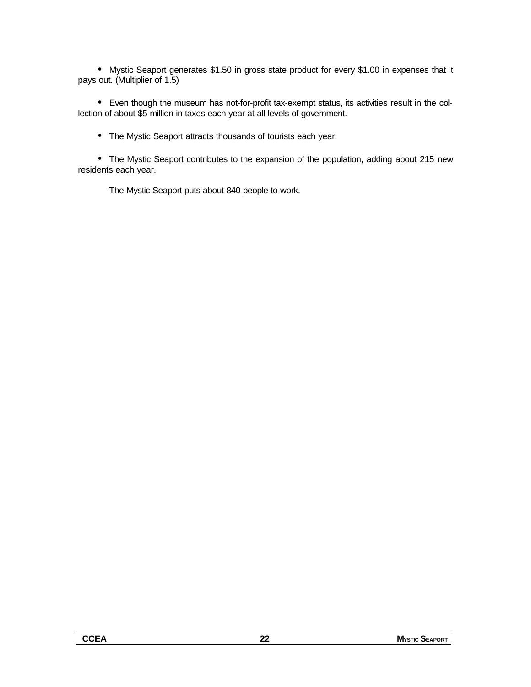• Mystic Seaport generates \$1.50 in gross state product for every \$1.00 in expenses that it pays out. (Multiplier of 1.5)

• Even though the museum has not-for-profit tax-exempt status, its activities result in the collection of about \$5 million in taxes each year at all levels of government.

• The Mystic Seaport attracts thousands of tourists each year.

• The Mystic Seaport contributes to the expansion of the population, adding about 215 new residents each year.

The Mystic Seaport puts about 840 people to work.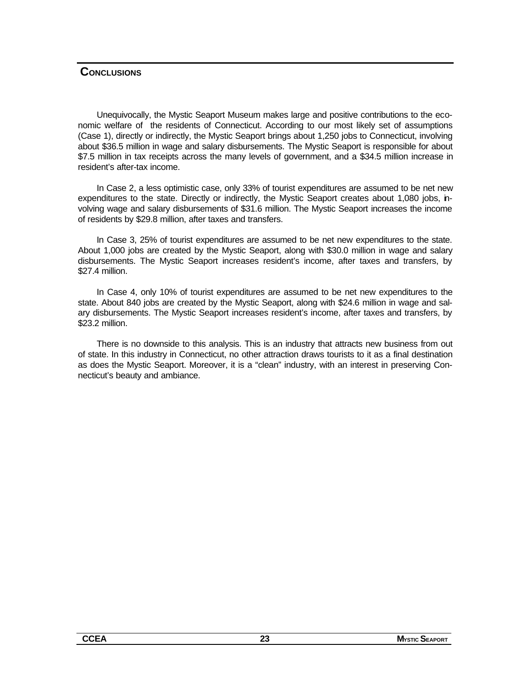#### **CONCLUSIONS**

Unequivocally, the Mystic Seaport Museum makes large and positive contributions to the economic welfare of the residents of Connecticut. According to our most likely set of assumptions (Case 1), directly or indirectly, the Mystic Seaport brings about 1,250 jobs to Connecticut, involving about \$36.5 million in wage and salary disbursements. The Mystic Seaport is responsible for about \$7.5 million in tax receipts across the many levels of government, and a \$34.5 million increase in resident's after-tax income.

In Case 2, a less optimistic case, only 33% of tourist expenditures are assumed to be net new expenditures to the state. Directly or indirectly, the Mystic Seaport creates about 1,080 jobs, involving wage and salary disbursements of \$31.6 million. The Mystic Seaport increases the income of residents by \$29.8 million, after taxes and transfers.

In Case 3, 25% of tourist expenditures are assumed to be net new expenditures to the state. About 1,000 jobs are created by the Mystic Seaport, along with \$30.0 million in wage and salary disbursements. The Mystic Seaport increases resident's income, after taxes and transfers, by \$27.4 million.

In Case 4, only 10% of tourist expenditures are assumed to be net new expenditures to the state. About 840 jobs are created by the Mystic Seaport, along with \$24.6 million in wage and salary disbursements. The Mystic Seaport increases resident's income, after taxes and transfers, by \$23.2 million.

There is no downside to this analysis. This is an industry that attracts new business from out of state. In this industry in Connecticut, no other attraction draws tourists to it as a final destination as does the Mystic Seaport. Moreover, it is a "clean" industry, with an interest in preserving Connecticut's beauty and ambiance.